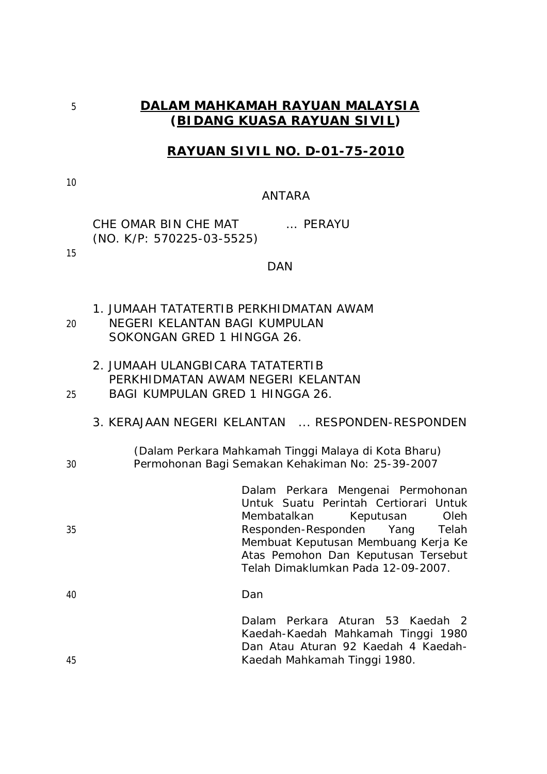# 5 **DALAM MAHKAMAH RAYUAN MALAYSIA (BIDANG KUASA RAYUAN SIVIL)**

# **RAYUAN SIVIL NO. D-01-75-2010**

10

15

#### ANTARA

CHE OMAR BIN CHE MAT … PERAYU (NO. K/P: 570225-03-5525)

DAN

- 1. JUMAAH TATATERTIB PERKHIDMATAN AWAM 20 NEGERI KELANTAN BAGI KUMPULAN SOKONGAN GRED 1 HINGGA 26.
- 2. JUMAAH ULANGBICARA TATATERTIB PERKHIDMATAN AWAM NEGERI KELANTAN 25 BAGI KUMPULAN GRED 1 HINGGA 26.
	- 3. KERAJAAN NEGERI KELANTAN ... RESPONDEN-RESPONDEN
- 

(Dalam Perkara Mahkamah Tinggi Malaya di Kota Bharu) 30 Permohonan Bagi Semakan Kehakiman No: 25-39-2007

|    |                                     |  |  | Dalam Perkara Mengenai Permohonan     |  |  |
|----|-------------------------------------|--|--|---------------------------------------|--|--|
|    |                                     |  |  | Untuk Suatu Perintah Certiorari Untuk |  |  |
|    |                                     |  |  | Membatalkan Keputusan Oleh            |  |  |
| 35 |                                     |  |  | Responden-Responden Yang Telah        |  |  |
|    | Membuat Keputusan Membuang Kerja Ke |  |  |                                       |  |  |
|    | Atas Pemohon Dan Keputusan Tersebut |  |  |                                       |  |  |
|    | Telah Dimaklumkan Pada 12-09-2007.  |  |  |                                       |  |  |
|    |                                     |  |  |                                       |  |  |

40 Dan Dalam Perkara Aturan 53 Kaedah 2 Kaedah-Kaedah Mahkamah Tinggi 1980 Dan Atau Aturan 92 Kaedah 4 Kaedah-

45 Kaedah Mahkamah Tinggi 1980.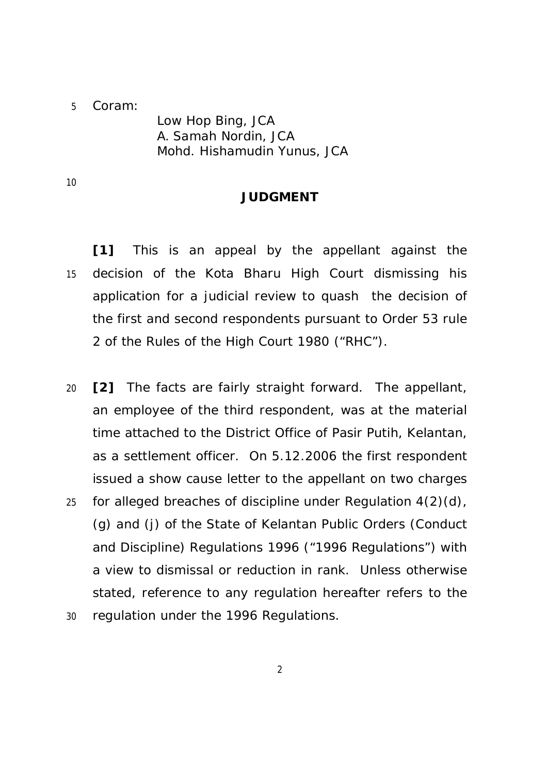### 5 Coram:

Low Hop Bing, JCA A. Samah Nordin, JCA Mohd. Hishamudin Yunus, JCA

10

### **JUDGMENT**

**[1]** This is an appeal by the appellant against the 15 decision of the Kota Bharu High Court dismissing his application for a judicial review to quash the decision of the first and second respondents pursuant to Order 53 rule 2 of the Rules of the High Court 1980 ("RHC").

- 20 **[2]** The facts are fairly straight forward. The appellant, an employee of the third respondent, was at the material time attached to the District Office of Pasir Putih, Kelantan, as a settlement officer. On 5.12.2006 the first respondent issued a show cause letter to the appellant on two charges
- 25 for alleged breaches of discipline under Regulation  $4(2)(d)$ , (g) and (j) of the State of Kelantan Public Orders (Conduct and Discipline) Regulations 1996 ("1996 Regulations") with a view to dismissal or reduction in rank. Unless otherwise stated, reference to any regulation hereafter refers to the 30 regulation under the 1996 Regulations.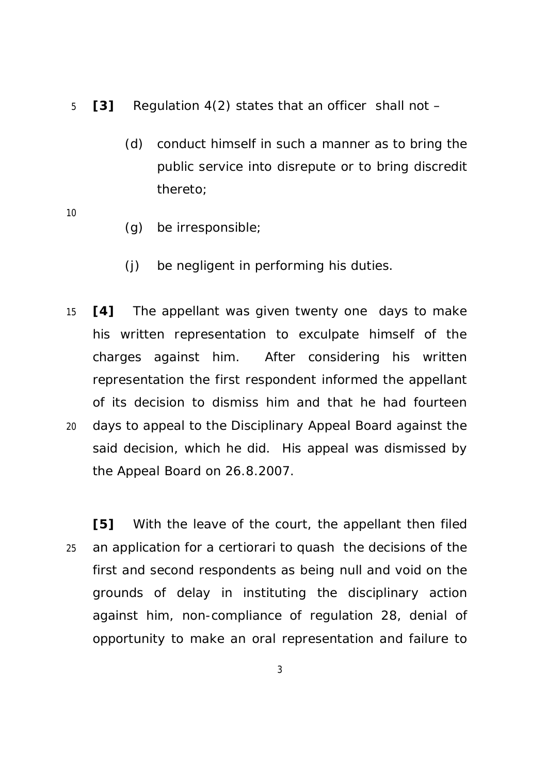- 5 **[3]** Regulation 4(2) states that an officer shall not
	- (d) conduct himself in such a manner as to bring the public service into disrepute or to bring discredit thereto;
- 10
- (g) be irresponsible;
- (j) be negligent in performing his duties.
- 15 **[4]** The appellant was given twenty one days to make his written representation to exculpate himself of the charges against him. After considering his written representation the first respondent informed the appellant of its decision to dismiss him and that he had fourteen 20 days to appeal to the Disciplinary Appeal Board against the said decision, which he did. His appeal was dismissed by the Appeal Board on 26.8.2007.

**[5]** With the leave of the court, the appellant then filed 25 an application for a certiorari to quash the decisions of the first and second respondents as being null and void on the grounds of delay in instituting the disciplinary action against him, non-compliance of regulation 28, denial of opportunity to make an oral representation and failure to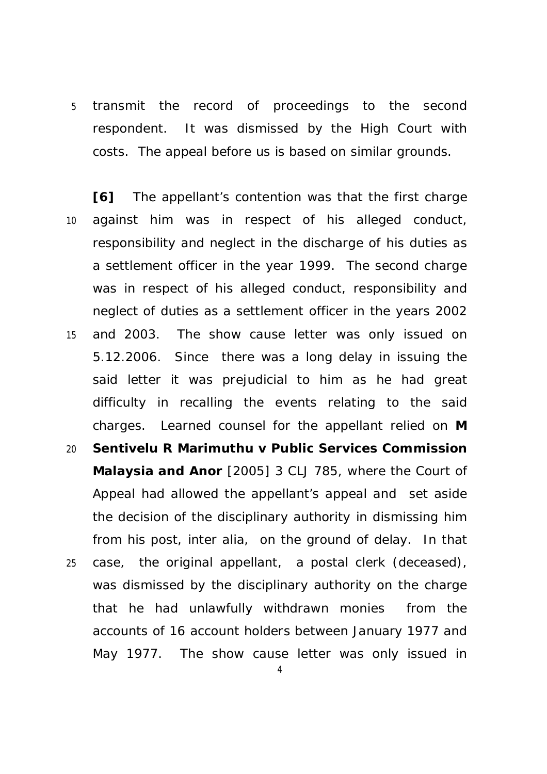5 transmit the record of proceedings to the second respondent. It was dismissed by the High Court with costs. The appeal before us is based on similar grounds.

**[6]** The appellant's contention was that the first charge 10 against him was in respect of his alleged conduct, responsibility and neglect in the discharge of his duties as a settlement officer in the year 1999. The second charge was in respect of his alleged conduct, responsibility and neglect of duties as a settlement officer in the years 2002 15 and 2003. The show cause letter was only issued on 5.12.2006. Since there was a long delay in issuing the said letter it was prejudicial to him as he had great difficulty in recalling the events relating to the said charges. Learned counsel for the appellant relied on **M**  20 **Sentivelu R Marimuthu v Public Services Commission Malaysia and Anor** [2005] 3 CLJ 785, where the Court of Appeal had allowed the appellant's appeal and set aside the decision of the disciplinary authority in dismissing him from his post, *inter alia,* on the ground of delay. In that 25 case, the original appellant, a postal clerk (deceased), was dismissed by the disciplinary authority on the charge that he had unlawfully withdrawn monies from the

May 1977. The show cause letter was only issued in

4

accounts of 16 account holders between January 1977 and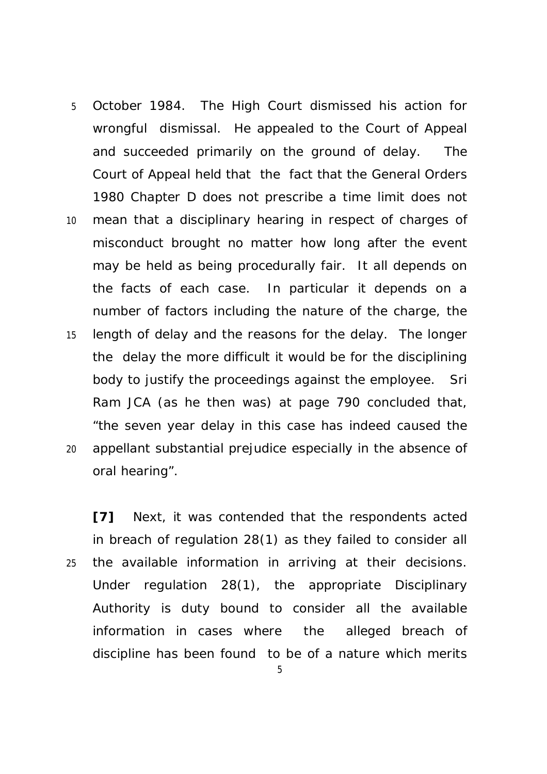- 5 October 1984. The High Court dismissed his action for wrongful dismissal. He appealed to the Court of Appeal and succeeded primarily on the ground of delay. The Court of Appeal held that the fact that the General Orders 1980 Chapter D does not prescribe a time limit does not
- 10 mean that a disciplinary hearing in respect of charges of misconduct brought no matter how long after the event may be held as being procedurally fair. It all depends on the facts of each case. In particular it depends on a number of factors including the nature of the charge, the 15 length of delay and the reasons for the delay. The longer the delay the more difficult it would be for the disciplining body to justify the proceedings against the employee. Sri Ram JCA (as he then was) at page 790 concluded that, "the seven year delay in this case has indeed caused the 20 appellant substantial prejudice especially in the absence of oral hearing".

**[7]** Next, it was contended that the respondents acted in breach of regulation 28(1) as they failed to consider all 25 the available information in arriving at their decisions. Under regulation 28(1), the appropriate Disciplinary Authority is duty bound to consider all the available information in cases where the alleged breach of discipline has been found to be of a nature which merits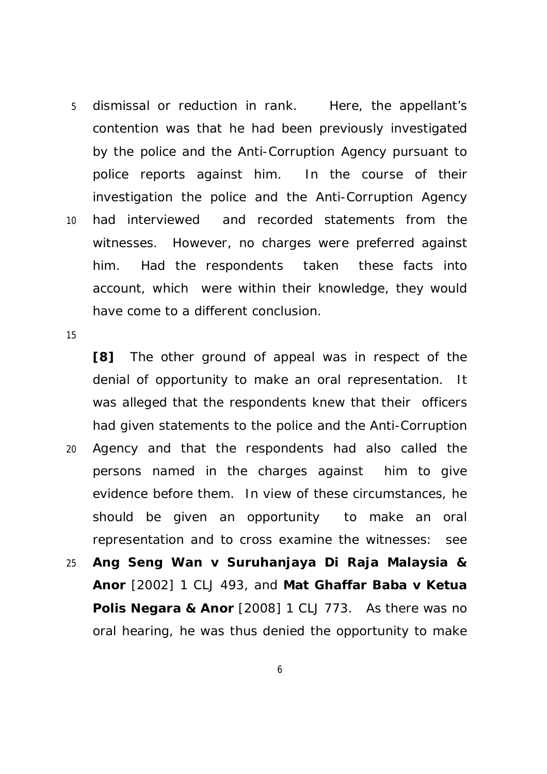5 dismissal or reduction in rank. Here, the appellant's contention was that he had been previously investigated by the police and the Anti-Corruption Agency pursuant to police reports against him. In the course of their investigation the police and the Anti-Corruption Agency 10 had interviewed and recorded statements from the witnesses. However, no charges were preferred against him. Had the respondents taken these facts into account, which were within their knowledge, they would have come to a different conclusion.

15

**[8]** The other ground of appeal was in respect of the denial of opportunity to make an oral representation. It was alleged that the respondents knew that their officers had given statements to the police and the Anti-Corruption

- 20 Agency and that the respondents had also called the persons named in the charges against him to give evidence before them. In view of these circumstances, he should be given an opportunity to make an oral representation and to cross examine the witnesses: see
- 25 **Ang Seng Wan v Suruhanjaya Di Raja Malaysia & Anor** [2002] 1 CLJ 493, and **Mat Ghaffar Baba v Ketua Polis Negara & Anor** [2008] 1 CLJ 773. As there was no oral hearing, he was thus denied the opportunity to make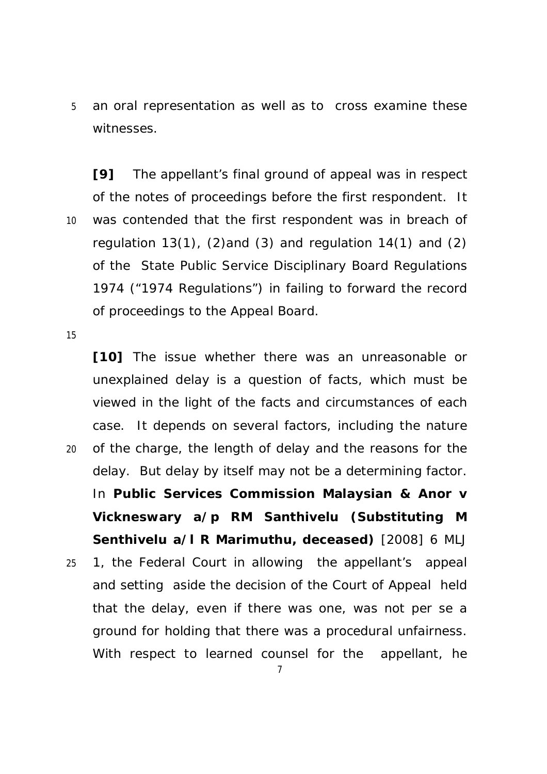5 an oral representation as well as to cross examine these witnesses.

**[9]** The appellant's final ground of appeal was in respect of the notes of proceedings before the first respondent. It 10 was contended that the first respondent was in breach of regulation 13(1), (2)and (3) and regulation 14(1) and (2) of the State Public Service Disciplinary Board Regulations 1974 ("1974 Regulations") in failing to forward the record of proceedings to the Appeal Board.

15

**[10]** The issue whether there was an unreasonable or unexplained delay is a question of facts, which must be viewed in the light of the facts and circumstances of each case. It depends on several factors, including the nature 20 of the charge, the length of delay and the reasons for the delay. But delay by itself may not be a determining factor. In **Public Services Commission Malaysian & Anor v Vickneswary a/p RM Santhivelu (Substituting M Senthivelu a/l R Marimuthu, deceased)** [2008] 6 MLJ 25 1, the Federal Court in allowing the appellant's appeal and setting aside the decision of the Court of Appeal held that the delay, even if there was one, was not *per se* a ground for holding that there was a procedural unfairness. With respect to learned counsel for the appellant, he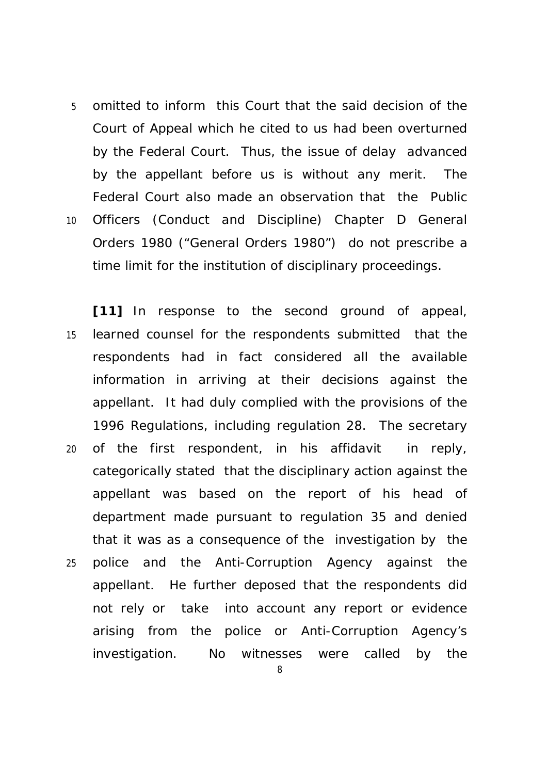- 5 omitted to inform this Court that the said decision of the Court of Appeal which he cited to us had been overturned by the Federal Court. Thus, the issue of delay advanced by the appellant before us is without any merit. The Federal Court also made an observation that the Public 10 Officers (Conduct and Discipline) Chapter D General Orders 1980 ("General Orders 1980") do not prescribe a time limit for the institution of disciplinary proceedings.
- **[11]** In response to the second ground of appeal, 15 learned counsel for the respondents submitted that the respondents had in fact considered all the available information in arriving at their decisions against the appellant. It had duly complied with the provisions of the 1996 Regulations, including regulation 28. The secretary 20 of the first respondent, in his affidavit in reply, categorically stated that the disciplinary action against the appellant was based on the report of his head of department made pursuant to regulation 35 and denied that it was as a consequence of the investigation by the 25 police and the Anti-Corruption Agency against the appellant. He further deposed that the respondents did not rely or take into account any report or evidence arising from the police or Anti-Corruption Agency's investigation. No witnesses were called by the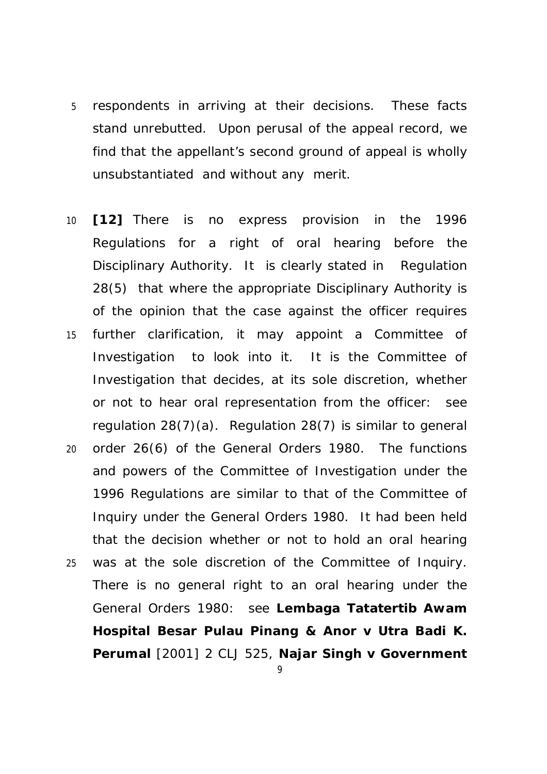- 5 respondents in arriving at their decisions. These facts stand unrebutted. Upon perusal of the appeal record, we find that the appellant's second ground of appeal is wholly unsubstantiated and without any merit.
- 10 **[12]** There is no express provision in the 1996 Regulations for a right of oral hearing before the Disciplinary Authority. It is clearly stated in Regulation 28(5) that where the appropriate Disciplinary Authority is of the opinion that the case against the officer requires 15 further clarification, it may appoint a Committee of Investigation to look into it. It is the Committee of Investigation that decides, at its sole discretion, whether or not to hear oral representation from the officer: see regulation 28(7)(a). Regulation 28(7) is similar to general 20 order 26(6) of the General Orders 1980. The functions and powers of the Committee of Investigation under the 1996 Regulations are similar to that of the Committee of Inquiry under the General Orders 1980. It had been held that the decision whether or not to hold an oral hearing 25 was at the sole discretion of the Committee of Inquiry. There is no general right to an oral hearing under the General Orders 1980: see **Lembaga Tatatertib Awam Hospital Besar Pulau Pinang & Anor v Utra Badi K.** 
	- **Perumal** [2001] 2 CLJ 525, **Najar Singh v Government**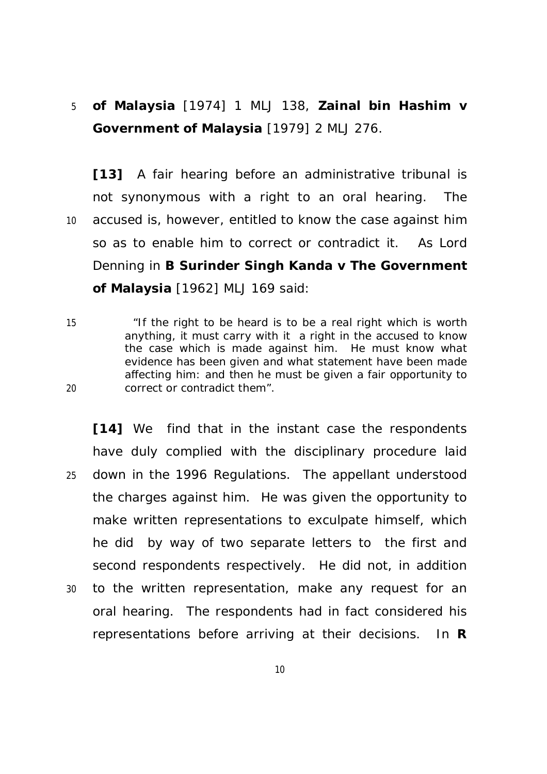# 5 **of Malaysia** [1974] 1 MLJ 138, **Zainal bin Hashim v Government of Malaysia** [1979] 2 MLJ 276.

**[13]** A fair hearing before an administrative tribunal is not synonymous with a right to an oral hearing. The 10 accused is, however, entitled to know the case against him so as to enable him to correct or contradict it. As Lord Denning in **B Surinder Singh Kanda v The Government of Malaysia** [1962] MLJ 169 said:

15 "If the right to be heard is to be a real right which is worth anything, it must carry with it a right in the accused to know the case which is made against him. He must know what evidence has been given and what statement have been made affecting him: and then he must be given a fair opportunity to 20 correct or contradict them".

**[14]** We find that in the instant case the respondents have duly complied with the disciplinary procedure laid 25 down in the 1996 Regulations. The appellant understood the charges against him. He was given the opportunity to make written representations to exculpate himself, which he did by way of two separate letters to the first and second respondents respectively. He did not, in addition 30 to the written representation, make any request for an oral hearing. The respondents had in fact considered his representations before arriving at their decisions. In **R**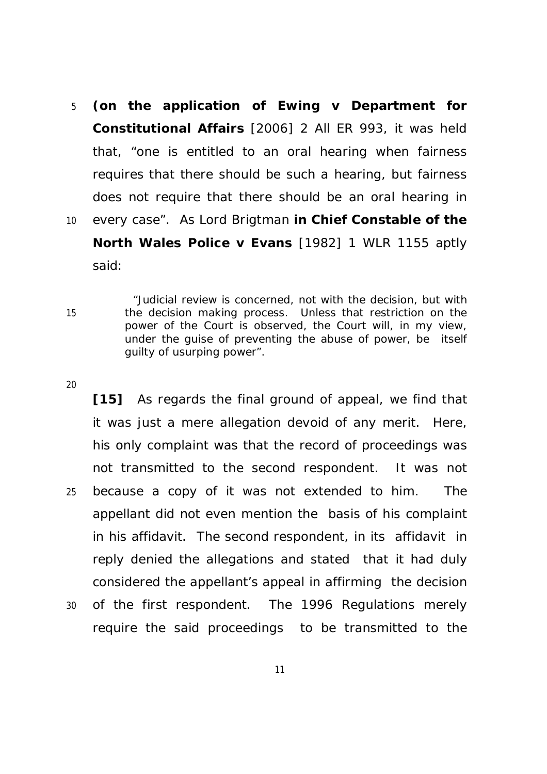5 **(on the application of Ewing v Department for Constitutional Affairs** [2006] 2 All ER 993, it was held that, "one is entitled to an oral hearing when fairness requires that there should be such a hearing, but fairness does not require that there should be an oral hearing in 10 every case". As Lord Brigtman **in Chief Constable of the North Wales Police v Evans** [1982] 1 WLR 1155 aptly said:

"Judicial review is concerned, not with the decision, but with 15 the decision making process. Unless that restriction on the power of the Court is observed, the Court will, in my view, under the guise of preventing the abuse of power, be itself guilty of usurping power".

#### 20

**[15]** As regards the final ground of appeal, we find that it was just a mere allegation devoid of any merit. Here, his only complaint was that the record of proceedings was not transmitted to the second respondent. It was not 25 because a copy of it was not extended to him. The appellant did not even mention the basis of his complaint in his affidavit. The second respondent, in its affidavit in reply denied the allegations and stated that it had duly considered the appellant's appeal in affirming the decision

30 of the first respondent. The 1996 Regulations merely require the said proceedings to be transmitted to the